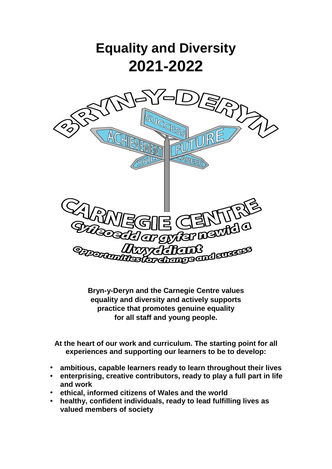

**Bryn-y-Deryn and the Carnegie Centre values equality and diversity and actively supports practice that promotes genuine equality for all staff and young people.**

**At the heart of our work and curriculum. The starting point for all experiences and supporting our learners to be to develop:**

- **ambitious, capable learners ready to learn throughout their lives**
- **enterprising, creative contributors, ready to play a full part in life and work**
- **ethical, informed citizens of Wales and the world**
- **healthy, confident individuals, ready to lead fulfilling lives as valued members of society**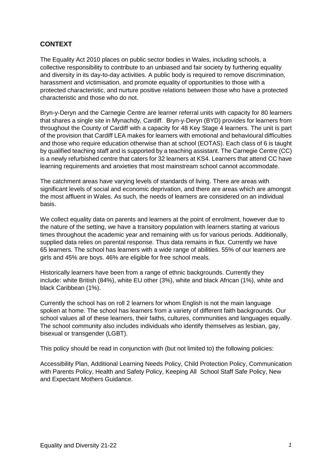# **CONTEXT**

The Equality Act 2010 places on public sector bodies in Wales, including schools, a collective responsibility to contribute to an unbiased and fair society by furthering equality and diversity in its day-to-day activities. A public body is required to remove discrimination, harassment and victimisation, and promote equality of opportunities to those with a protected characteristic, and nurture positive relations between those who have a protected characteristic and those who do not.

Bryn-y-Deryn and the Carnegie Centre are learner referral units with capacity for 80 learners that shares a single site in Mynachdy*,* Cardiff. Bryn-y-Deryn (BYD) provides for learners from throughout the County of Cardiff with a capacity for 48 Key Stage 4 learners. The unit is part of the provision that Cardiff LEA makes for learners with emotional and behavioural difficulties and those who require education otherwise than at school (EOTAS). Each class of 6 is taught by qualified teaching staff and is supported by a teaching assistant. The Carnegie Centre (CC) is a newly refurbished centre that caters for 32 learners at KS4. Learners that attend CC have learning requirements and anxieties that most mainstream school cannot accommodate.

The catchment areas have varying levels of standards of living. There are areas with significant levels of social and economic deprivation, and there are areas which are amongst the most affluent in Wales. As such, the needs of learners are considered on an individual basis.

We collect equality data on parents and learners at the point of enrolment, however due to the nature of the setting, we have a transitory population with learners starting at various times throughout the academic year and remaining with us for various periods. Additionally, supplied data relies on parental response. Thus data remains in flux. Currently we have 65 learners. The school has learners with a wide range of abilities. 55% of our learners are girls and 45% are boys. 46% are eligible for free school meals.

Historically learners have been from a range of ethnic backgrounds. Currently they include: white British (84%), white EU other (3%), white and black African (1%), white and black Caribbean (1%).

Currently the school has on roll 2 learners for whom English is not the main language spoken at home. The school has learners from a variety of different faith backgrounds. Our school values all of these learners, their faiths, cultures, communities and languages equally. The school community also includes individuals who identify themselves as lesbian, gay, bisexual or transgender (LGBT).

This policy should be read in conjunction with (but not limited to) the following policies:

Accessibility Plan, Additional Learning Needs Policy, Child Protection Policy, Communication with Parents Policy, Health and Safety Policy, Keeping All School Staff Safe Policy, New and Expectant Mothers Guidance.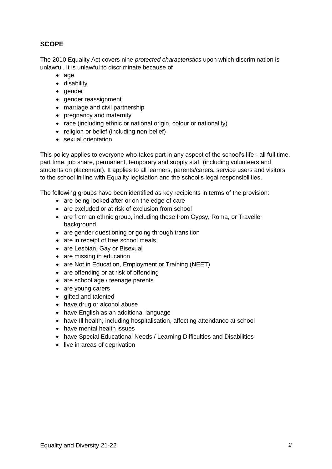# **SCOPE**

The 2010 Equality Act covers nine *protected characteristics* upon which discrimination is unlawful. It is unlawful to discriminate because of

- age
- disability
- gender
- gender reassignment
- marriage and civil partnership
- pregnancy and maternity
- race (including ethnic or national origin, colour or nationality)
- religion or belief (including non-belief)
- sexual orientation

This policy applies to everyone who takes part in any aspect of the school's life - all full time, part time, job share, permanent, temporary and supply staff (including volunteers and students on placement). It applies to all learners, parents/carers, service users and visitors to the school in line with Equality legislation and the school's legal responsibilities.

The following groups have been identified as key recipients in terms of the provision:

- are being looked after or on the edge of care
- are excluded or at risk of exclusion from school
- are from an ethnic group, including those from Gypsy, Roma, or Traveller background
- are gender questioning or going through transition
- are in receipt of free school meals
- are Lesbian, Gay or Bisexual
- are missing in education
- are Not in Education, Employment or Training (NEET)
- are offending or at risk of offending
- are school age / teenage parents
- are young carers
- gifted and talented
- have drug or alcohol abuse
- have English as an additional language
- have III health, including hospitalisation, affecting attendance at school
- have mental health issues
- have Special Educational Needs / Learning Difficulties and Disabilities
- live in areas of deprivation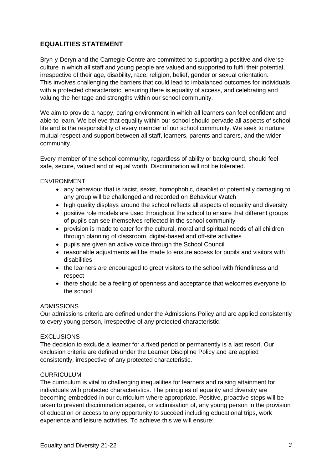# **EQUALITIES STATEMENT**

Bryn-y-Deryn and the Carnegie Centre are committed to supporting a positive and diverse culture in which all staff and young people are valued and supported to fulfil their potential, irrespective of their age, disability, race, religion, belief, gender or sexual orientation. This involves challenging the barriers that could lead to imbalanced outcomes for individuals with a protected characteristic, ensuring there is equality of access, and celebrating and valuing the heritage and strengths within our school community.

We aim to provide a happy, caring environment in which all learners can feel confident and able to learn. We believe that equality within our school should pervade all aspects of school life and is the responsibility of every member of our school community. We seek to nurture mutual respect and support between all staff, learners, parents and carers, and the wider community.

Every member of the school community, regardless of ability or background, should feel safe, secure, valued and of equal worth. Discrimination will not be tolerated.

### ENVIRONMENT

- any behaviour that is racist, sexist, homophobic, disablist or potentially damaging to any group will be challenged and recorded on Behaviour Watch
- high quality displays around the school reflects all aspects of equality and diversity
- positive role models are used throughout the school to ensure that different groups of pupils can see themselves reflected in the school community
- provision is made to cater for the cultural, moral and spiritual needs of all children through planning of classroom, digital-based and off-site activities
- pupils are given an active voice through the School Council
- reasonable adjustments will be made to ensure access for pupils and visitors with disabilities
- the learners are encouraged to greet visitors to the school with friendliness and respect
- there should be a feeling of openness and acceptance that welcomes everyone to the school

### ADMISSIONS

Our admissions criteria are defined under the Admissions Policy and are applied consistently to every young person, irrespective of any protected characteristic.

### **EXCLUSIONS**

The decision to exclude a learner for a fixed period or permanently is a last resort. Our exclusion criteria are defined under the Learner Discipline Policy and are applied consistently, irrespective of any protected characteristic.

## **CURRICULUM**

The curriculum is vital to challenging inequalities for learners and raising attainment for individuals with protected characteristics. The principles of equality and diversity are becoming embedded in our curriculum where appropriate. Positive, proactive steps will be taken to prevent discrimination against, or victimisation of, any young person in the provision of education or access to any opportunity to succeed including educational trips, work experience and leisure activities. To achieve this we will ensure: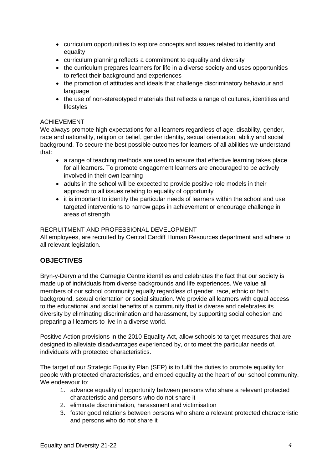- curriculum opportunities to explore concepts and issues related to identity and equality
- curriculum planning reflects a commitment to equality and diversity
- the curriculum prepares learners for life in a diverse society and uses opportunities to reflect their background and experiences
- the promotion of attitudes and ideals that challenge discriminatory behaviour and language
- the use of non-stereotyped materials that reflects a range of cultures, identities and lifestyles

### ACHIEVEMENT

We always promote high expectations for all learners regardless of age, disability, gender, race and nationality, religion or belief, gender identity, sexual orientation, ability and social background. To secure the best possible outcomes for learners of all abilities we understand that:

- a range of teaching methods are used to ensure that effective learning takes place for all learners. To promote engagement learners are encouraged to be actively involved in their own learning
- adults in the school will be expected to provide positive role models in their approach to all issues relating to equality of opportunity
- it is important to identify the particular needs of learners within the school and use targeted interventions to narrow gaps in achievement or encourage challenge in areas of strength

### RECRUITMENT AND PROFESSIONAL DEVELOPMENT

All employees, are recruited by Central Cardiff Human Resources department and adhere to all relevant legislation.

# **OBJECTIVES**

Bryn-y-Deryn and the Carnegie Centre identifies and celebrates the fact that our society is made up of individuals from diverse backgrounds and life experiences. We value all members of our school community equally regardless of gender, race, ethnic or faith background, sexual orientation or social situation. We provide all learners with equal access to the educational and social benefits of a community that is diverse and celebrates its diversity by eliminating discrimination and harassment, by supporting social cohesion and preparing all learners to live in a diverse world.

Positive Action provisions in the 2010 Equality Act, allow schools to target measures that are designed to alleviate disadvantages experienced by, or to meet the particular needs of, individuals with protected characteristics.

The target of our Strategic Equality Plan (SEP) is to fulfil the duties to promote equality for people with protected characteristics, and embed equality at the heart of our school community. We endeavour to:

- 1. advance equality of opportunity between persons who share a relevant protected characteristic and persons who do not share it
- 2. eliminate discrimination, harassment and victimisation
- 3. foster good relations between persons who share a relevant protected characteristic and persons who do not share it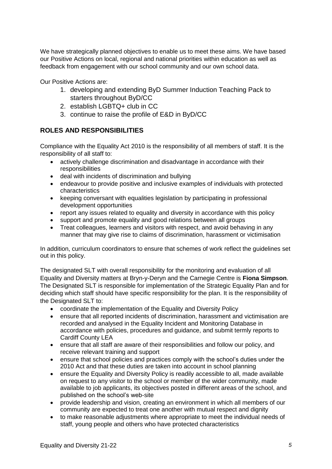We have strategically planned objectives to enable us to meet these aims. We have based our Positive Actions on local, regional and national priorities within education as well as feedback from engagement with our school community and our own school data.

Our Positive Actions are:

- 1. developing and extending ByD Summer Induction Teaching Pack to starters throughout ByD/CC
- 2. establish LGBTQ+ club in CC
- 3. continue to raise the profile of E&D in ByD/CC

# **ROLES AND RESPONSIBILITIES**

Compliance with the Equality Act 2010 is the responsibility of all members of staff. It is the responsibility of all staff to:

- actively challenge discrimination and disadvantage in accordance with their responsibilities
- deal with incidents of discrimination and bullying
- endeavour to provide positive and inclusive examples of individuals with protected characteristics
- keeping conversant with equalities legislation by participating in professional development opportunities
- report any issues related to equality and diversity in accordance with this policy
- support and promote equality and good relations between all groups
- Treat colleagues, learners and visitors with respect, and avoid behaving in any manner that may give rise to claims of discrimination, harassment or victimisation

In addition, curriculum coordinators to ensure that schemes of work reflect the guidelines set out in this policy.

The designated SLT with overall responsibility for the monitoring and evaluation of all Equality and Diversity matters at Bryn-y-Deryn and the Carnegie Centre is **Fiona Simpson**. The Designated SLT is responsible for implementation of the Strategic Equality Plan and for deciding which staff should have specific responsibility for the plan. It is the responsibility of the Designated SLT to:

- coordinate the implementation of the Equality and Diversity Policy
- ensure that all reported incidents of discrimination, harassment and victimisation are recorded and analysed in the Equality Incident and Monitoring Database in accordance with policies, procedures and guidance, and submit termly reports to Cardiff County LEA
- ensure that all staff are aware of their responsibilities and follow our policy, and receive relevant training and support
- ensure that school policies and practices comply with the school's duties under the 2010 Act and that these duties are taken into account in school planning
- ensure the Equality and Diversity Policy is readily accessible to all, made available on request to any visitor to the school or member of the wider community, made available to job applicants, its objectives posted in different areas of the school, and published on the school's web-site
- provide leadership and vision, creating an environment in which all members of our community are expected to treat one another with mutual respect and dignity
- to make reasonable adjustments where appropriate to meet the individual needs of staff, young people and others who have protected characteristics